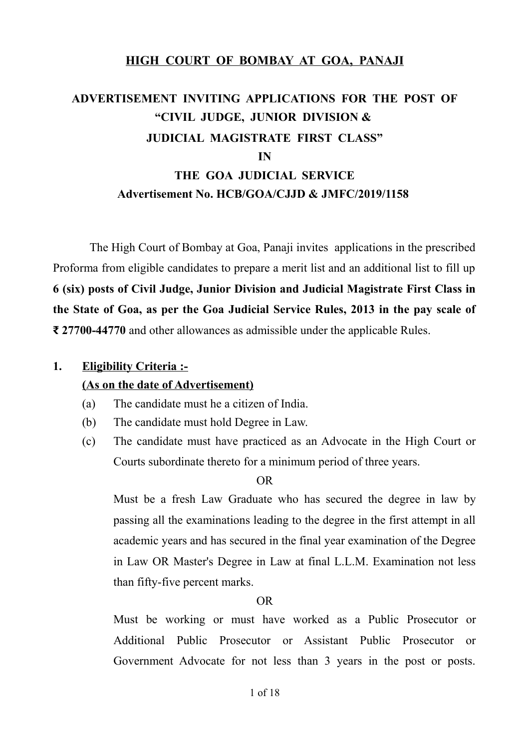## **HIGH COURT OF BOMBAY AT GOA, PANAJI**

# **ADVERTISEMENT INVITING APPLICATIONS FOR THE POST OF "CIVIL JUDGE, JUNIOR DIVISION & JUDICIAL MAGISTRATE FIRST CLASS" IN THE GOA JUDICIAL SERVICE Advertisement No. HCB/GOA/CJJD & JMFC/2019/1158**

 The High Court of Bombay at Goa, Panaji invites applications in the prescribed Proforma from eligible candidates to prepare a merit list and an additional list to fill up **6 (six) posts of Civil Judge, Junior Division and Judicial Magistrate First Class in the State of Goa, as per the Goa Judicial Service Rules, 2013 in the pay scale of ₹ 27700-44770** and other allowances as admissible under the applicable Rules.

# **1. Eligibility Criteria :- (As on the date of Advertisement)**

- (a) The candidate must he a citizen of India.
- (b) The candidate must hold Degree in Law.
- (c) The candidate must have practiced as an Advocate in the High Court or Courts subordinate thereto for a minimum period of three years.

OR

Must be a fresh Law Graduate who has secured the degree in law by passing all the examinations leading to the degree in the first attempt in all academic years and has secured in the final year examination of the Degree in Law OR Master's Degree in Law at final L.L.M. Examination not less than fifty-five percent marks.

OR

Must be working or must have worked as a Public Prosecutor or Additional Public Prosecutor or Assistant Public Prosecutor or Government Advocate for not less than 3 years in the post or posts.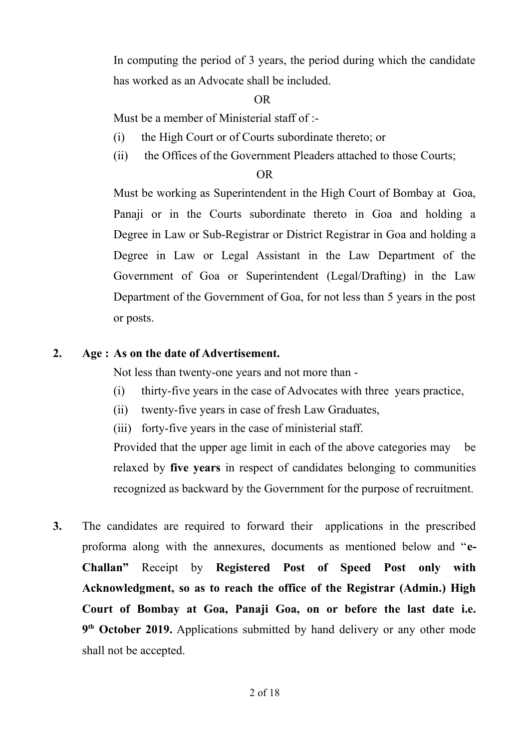In computing the period of 3 years, the period during which the candidate has worked as an Advocate shall be included.

#### **OR** OR

Must be a member of Ministerial staff of :-

- (i) the High Court or of Courts subordinate thereto; or
- (ii) the Offices of the Government Pleaders attached to those Courts;

#### OR

Must be working as Superintendent in the High Court of Bombay at Goa, Panaji or in the Courts subordinate thereto in Goa and holding a Degree in Law or Sub-Registrar or District Registrar in Goa and holding a Degree in Law or Legal Assistant in the Law Department of the Government of Goa or Superintendent (Legal/Drafting) in the Law Department of the Government of Goa, for not less than 5 years in the post or posts.

#### **2. Age : As on the date of Advertisement.**

Not less than twenty-one years and not more than -

- (i) thirty-five years in the case of Advocates with three years practice,
- (ii) twenty-five years in case of fresh Law Graduates,
- (iii) forty-five years in the case of ministerial staff.

Provided that the upper age limit in each of the above categories may be relaxed by **five years** in respect of candidates belonging to communities recognized as backward by the Government for the purpose of recruitment.

**3.** The candidates are required to forward their applications in the prescribed proforma along with the annexures, documents as mentioned below and "**e-Challan"** Receipt by **Registered Post of Speed Post only with Acknowledgment, so as to reach the office of the Registrar (Admin.) High Court of Bombay at Goa, Panaji Goa, on or before the last date i.e. 9 th October 2019.** Applications submitted by hand delivery or any other mode shall not be accepted.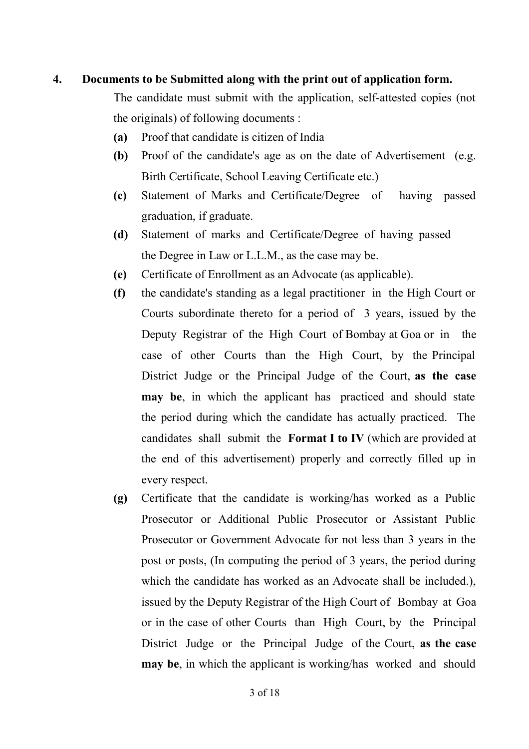#### **4. Documents to be Submitted along with the print out of application form.**

The candidate must submit with the application, self-attested copies (not the originals) of following documents :

- **(a)** Proof that candidate is citizen of India
- **(b)** Proof of the candidate's age as on the date of Advertisement (e.g. Birth Certificate, School Leaving Certificate etc.)
- **(c)** Statement of Marks and Certificate/Degree of having passed graduation, if graduate.
- **(d)** Statement of marks and Certificate/Degree of having passed the Degree in Law or L.L.M., as the case may be.
- **(e)** Certificate of Enrollment as an Advocate (as applicable).
- **(f)** the candidate's standing as a legal practitioner in the High Court or Courts subordinate thereto for a period of 3 years, issued by the Deputy Registrar of the High Court of Bombay at Goa or in the case of other Courts than the High Court, by the Principal District Judge or the Principal Judge of the Court, **as the case may be**, in which the applicant has practiced and should state the period during which the candidate has actually practiced. The candidates shall submit the **Format I to IV** (which are provided at the end of this advertisement) properly and correctly filled up in every respect.
- **(g)** Certificate that the candidate is working/has worked as a Public Prosecutor or Additional Public Prosecutor or Assistant Public Prosecutor or Government Advocate for not less than 3 years in the post or posts, (In computing the period of 3 years, the period during which the candidate has worked as an Advocate shall be included.), issued by the Deputy Registrar of the High Court of Bombay at Goa or in the case of other Courts than High Court, by the Principal District Judge or the Principal Judge of the Court, **as the case may be**, in which the applicant is working/has worked and should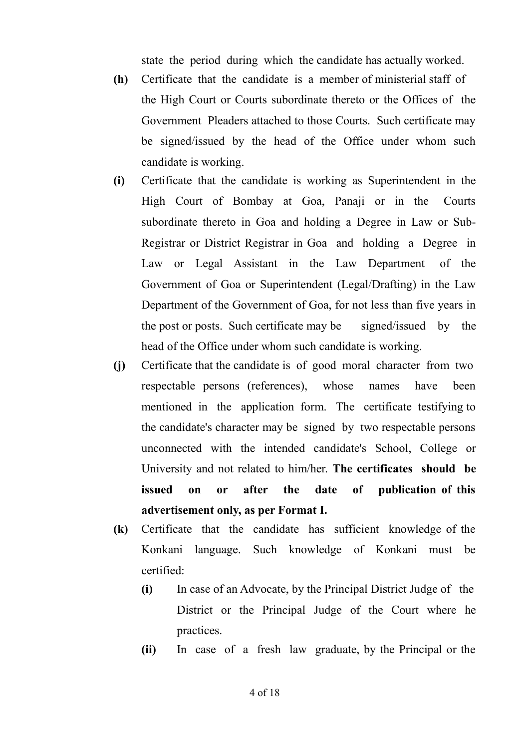state the period during which the candidate has actually worked.

- **(h)** Certificate that the candidate is a member of ministerial staff of the High Court or Courts subordinate thereto or the Offices of the Government Pleaders attached to those Courts. Such certificate may be signed/issued by the head of the Office under whom such candidate is working.
- **(i)** Certificate that the candidate is working as Superintendent in the High Court of Bombay at Goa, Panaji or in the Courts subordinate thereto in Goa and holding a Degree in Law or Sub-Registrar or District Registrar in Goa and holding a Degree in Law or Legal Assistant in the Law Department of the Government of Goa or Superintendent (Legal/Drafting) in the Law Department of the Government of Goa, for not less than five years in the post or posts. Such certificate may be signed/issued by the head of the Office under whom such candidate is working.
- **(j)** Certificate that the candidate is of good moral character from two respectable persons (references), whose names have been mentioned in the application form. The certificate testifying to the candidate's character may be signed by two respectable persons unconnected with the intended candidate's School, College or University and not related to him/her. **The certificates should be issued on or after the date of publication of this advertisement only, as per Format I.**
- **(k)** Certificate that the candidate has sufficient knowledge of the Konkani language. Such knowledge of Konkani must be certified:
	- **(i)** In case of an Advocate, by the Principal District Judge of the District or the Principal Judge of the Court where he practices.
	- **(ii)** In case of a fresh law graduate, by the Principal or the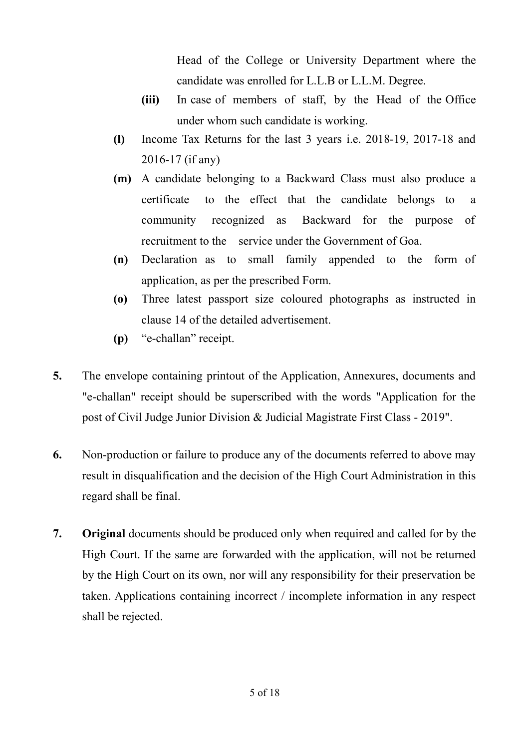Head of the College or University Department where the candidate was enrolled for L.L.B or L.L.M. Degree.

- **(iii)** In case of members of staff, by the Head of the Office under whom such candidate is working.
- **(l)** Income Tax Returns for the last 3 years i.e. 2018-19, 2017-18 and 2016-17 (if any)
- **(m)** A candidate belonging to a Backward Class must also produce a certificate to the effect that the candidate belongs to a community recognized as Backward for the purpose of recruitment to the service under the Government of Goa.
- **(n)** Declaration as to small family appended to the form of application, as per the prescribed Form.
- **(o)** Three latest passport size coloured photographs as instructed in clause 14 of the detailed advertisement.
- **(p)** "e-challan" receipt.
- **5.** The envelope containing printout of the Application, Annexures, documents and "e-challan" receipt should be superscribed with the words "Application for the post of Civil Judge Junior Division & Judicial Magistrate First Class - 2019".
- **6.** Non-production or failure to produce any of the documents referred to above may result in disqualification and the decision of the High Court Administration in this regard shall be final.
- **7. Original** documents should be produced only when required and called for by the High Court. If the same are forwarded with the application, will not be returned by the High Court on its own, nor will any responsibility for their preservation be taken. Applications containing incorrect / incomplete information in any respect shall be rejected.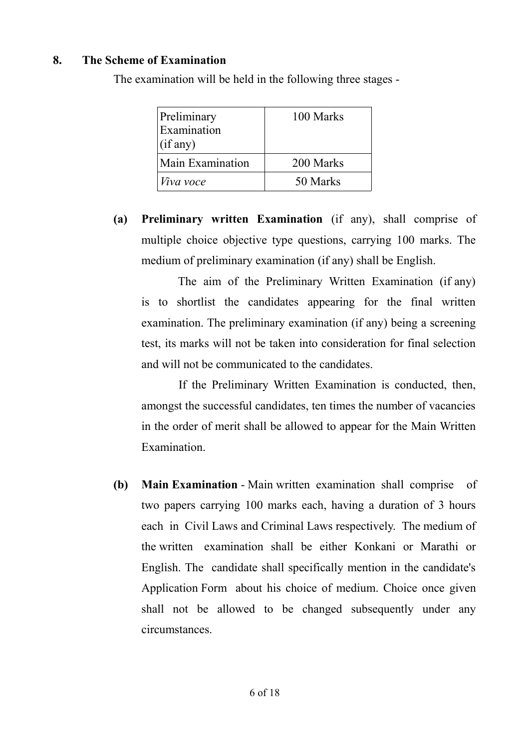## **8. The Scheme of Examination**

The examination will be held in the following three stages -

| Preliminary      | 100 Marks |
|------------------|-----------|
| Examination      |           |
| $\int$ (if any)  |           |
| Main Examination | 200 Marks |
| <i>Viva voce</i> | 50 Marks  |

**(a) Preliminary written Examination** (if any), shall comprise of multiple choice objective type questions, carrying 100 marks. The medium of preliminary examination (if any) shall be English.

 The aim of the Preliminary Written Examination (if any) is to shortlist the candidates appearing for the final written examination. The preliminary examination (if any) being a screening test, its marks will not be taken into consideration for final selection and will not be communicated to the candidates.

 If the Preliminary Written Examination is conducted, then, amongst the successful candidates, ten times the number of vacancies in the order of merit shall be allowed to appear for the Main Written Examination.

**(b) Main Examination** - Main written examination shall comprise of two papers carrying 100 marks each, having a duration of 3 hours each in Civil Laws and Criminal Laws respectively. The medium of the written examination shall be either Konkani or Marathi or English. The candidate shall specifically mention in the candidate's Application Form about his choice of medium. Choice once given shall not be allowed to be changed subsequently under any circumstances.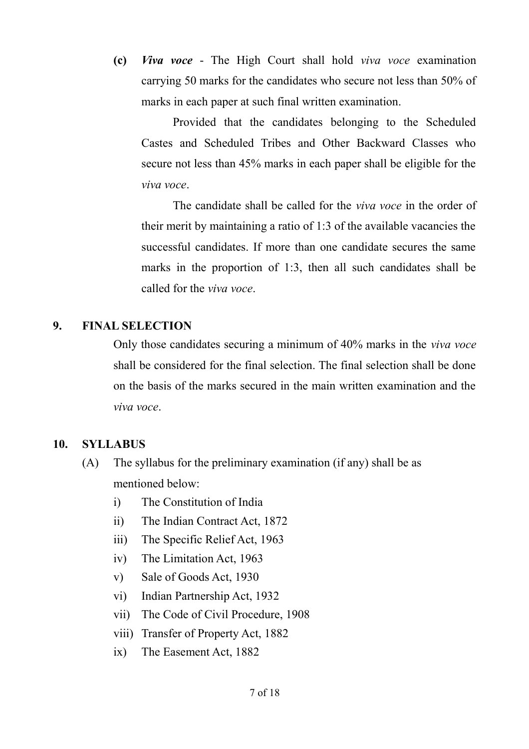**(c)** *Viva voce* - The High Court shall hold *viva voce* examination carrying 50 marks for the candidates who secure not less than 50% of marks in each paper at such final written examination.

Provided that the candidates belonging to the Scheduled Castes and Scheduled Tribes and Other Backward Classes who secure not less than 45% marks in each paper shall be eligible for the *viva voce*.

The candidate shall be called for the *viva voce* in the order of their merit by maintaining a ratio of 1:3 of the available vacancies the successful candidates. If more than one candidate secures the same marks in the proportion of 1:3, then all such candidates shall be called for the *viva voce*.

## **9. FINAL SELECTION**

Only those candidates securing a minimum of 40% marks in the *viva voce* shall be considered for the final selection. The final selection shall be done on the basis of the marks secured in the main written examination and the *viva voce*.

#### **10. SYLLABUS**

- (A) The syllabus for the preliminary examination (if any) shall be as mentioned below:
	- i) The Constitution of India
	- ii) The Indian Contract Act, 1872
	- iii) The Specific Relief Act, 1963
	- iv) The Limitation Act, 1963
	- v) Sale of Goods Act, 1930
	- vi) Indian Partnership Act, 1932
	- vii) The Code of Civil Procedure, 1908
	- viii) Transfer of Property Act, 1882
	- ix) The Easement Act, 1882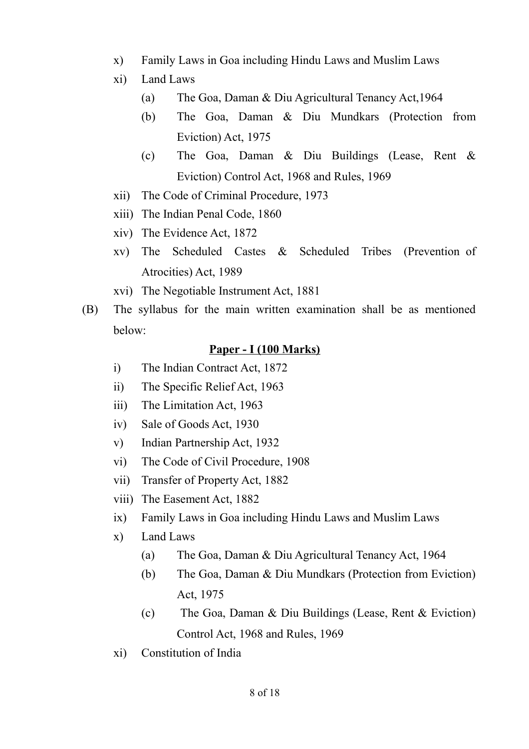- x) Family Laws in Goa including Hindu Laws and Muslim Laws
- xi) Land Laws
	- (a) The Goa, Daman & Diu Agricultural Tenancy Act,1964
	- (b) The Goa, Daman & Diu Mundkars (Protection from Eviction) Act, 1975
	- (c) The Goa, Daman & Diu Buildings (Lease, Rent & Eviction) Control Act, 1968 and Rules, 1969
- xii) The Code of Criminal Procedure, 1973
- xiii) The Indian Penal Code, 1860
- xiv) The Evidence Act, 1872
- xv) The Scheduled Castes & Scheduled Tribes (Prevention of Atrocities) Act, 1989
- xvi) The Negotiable Instrument Act, 1881
- (B) The syllabus for the main written examination shall be as mentioned below:

#### **Paper - I (100 Marks)**

- i) The Indian Contract Act, 1872
- ii) The Specific Relief Act, 1963
- iii) The Limitation Act, 1963
- iv) Sale of Goods Act, 1930
- v) Indian Partnership Act, 1932
- vi) The Code of Civil Procedure, 1908
- vii) Transfer of Property Act, 1882
- viii) The Easement Act, 1882
- ix) Family Laws in Goa including Hindu Laws and Muslim Laws
- x) Land Laws
	- (a) The Goa, Daman & Diu Agricultural Tenancy Act, 1964
	- (b) The Goa, Daman & Diu Mundkars (Protection from Eviction) Act, 1975
	- (c) The Goa, Daman & Diu Buildings (Lease, Rent & Eviction) Control Act, 1968 and Rules, 1969
- xi) Constitution of India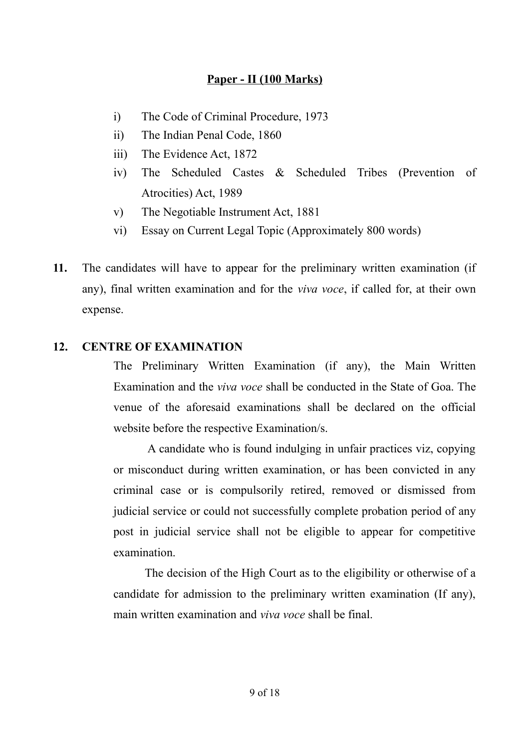#### **Paper - II (100 Marks)**

- i) The Code of Criminal Procedure, 1973
- ii) The Indian Penal Code, 1860
- iii) The Evidence Act, 1872
- iv) The Scheduled Castes & Scheduled Tribes (Prevention of Atrocities) Act, 1989
- v) The Negotiable Instrument Act, 1881
- vi) Essay on Current Legal Topic (Approximately 800 words)
- **11.** The candidates will have to appear for the preliminary written examination (if any), final written examination and for the *viva voce*, if called for, at their own expense.

#### **12. CENTRE OF EXAMINATION**

The Preliminary Written Examination (if any), the Main Written Examination and the *viva voce* shall be conducted in the State of Goa. The venue of the aforesaid examinations shall be declared on the official website before the respective Examination/s.

 A candidate who is found indulging in unfair practices viz, copying or misconduct during written examination, or has been convicted in any criminal case or is compulsorily retired, removed or dismissed from judicial service or could not successfully complete probation period of any post in judicial service shall not be eligible to appear for competitive examination.

The decision of the High Court as to the eligibility or otherwise of a candidate for admission to the preliminary written examination (If any), main written examination and *viva voce* shall be final.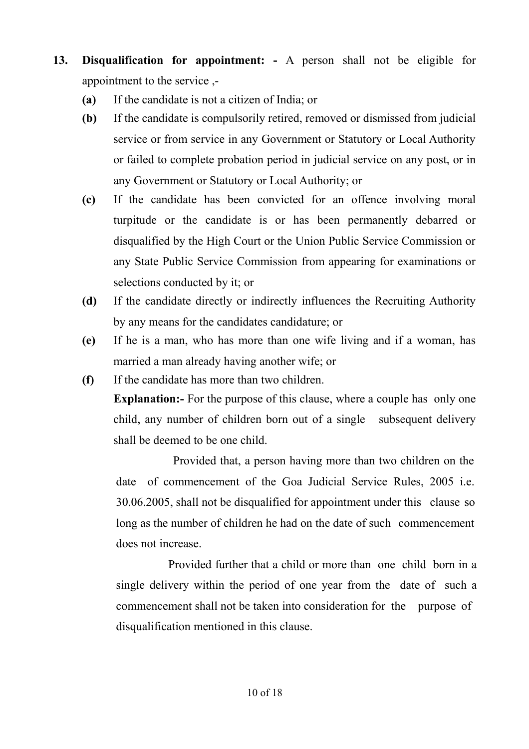- **13. Disqualification for appointment:** A person shall not be eligible for appointment to the service ,-
	- **(a)** If the candidate is not a citizen of India; or
	- **(b)** If the candidate is compulsorily retired, removed or dismissed from judicial service or from service in any Government or Statutory or Local Authority or failed to complete probation period in judicial service on any post, or in any Government or Statutory or Local Authority; or
	- **(c)** If the candidate has been convicted for an offence involving moral turpitude or the candidate is or has been permanently debarred or disqualified by the High Court or the Union Public Service Commission or any State Public Service Commission from appearing for examinations or selections conducted by it; or
	- **(d)** If the candidate directly or indirectly influences the Recruiting Authority by any means for the candidates candidature; or
	- **(e)** If he is a man, who has more than one wife living and if a woman, has married a man already having another wife; or
	- **(f)** If the candidate has more than two children.

**Explanation:** For the purpose of this clause, where a couple has only one child, any number of children born out of a single subsequent delivery shall be deemed to be one child.

 Provided that, a person having more than two children on the date of commencement of the Goa Judicial Service Rules, 2005 i.e. 30.06.2005, shall not be disqualified for appointment under this clause so long as the number of children he had on the date of such commencement does not increase.

 Provided further that a child or more than one child born in a single delivery within the period of one year from the date of such a commencement shall not be taken into consideration for the purpose of disqualification mentioned in this clause.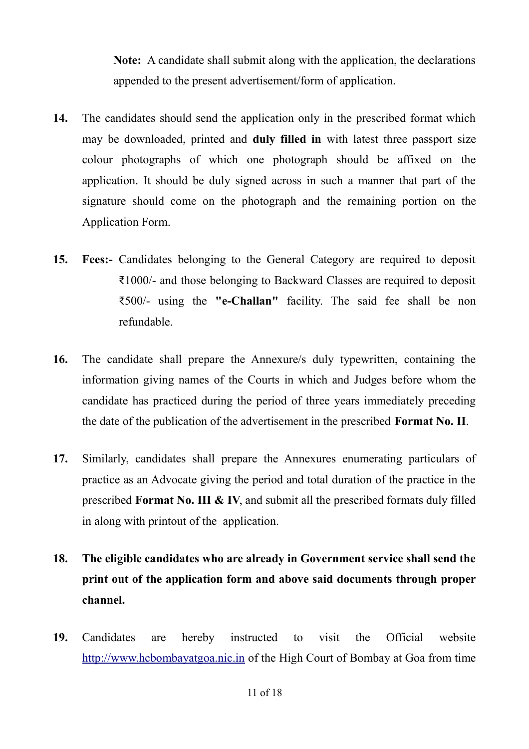**Note:** A candidate shall submit along with the application, the declarations appended to the present advertisement/form of application.

- **14.** The candidates should send the application only in the prescribed format which may be downloaded, printed and **duly filled in** with latest three passport size colour photographs of which one photograph should be affixed on the application. It should be duly signed across in such a manner that part of the signature should come on the photograph and the remaining portion on the Application Form.
- **15. Fees:-** Candidates belonging to the General Category are required to deposit ₹1000/- and those belonging to Backward Classes are required to deposit ₹500/- using the **"e-Challan"** facility. The said fee shall be non refundable.
- **16.** The candidate shall prepare the Annexure/s duly typewritten, containing the information giving names of the Courts in which and Judges before whom the candidate has practiced during the period of three years immediately preceding the date of the publication of the advertisement in the prescribed **Format No. II**.
- **17.** Similarly, candidates shall prepare the Annexures enumerating particulars of practice as an Advocate giving the period and total duration of the practice in the prescribed **Format No. III & IV**, and submit all the prescribed formats duly filled in along with printout of the application.
- **18. The eligible candidates who are already in Government service shall send the print out of the application form and above said documents through proper channel.**
- **19.** Candidates are hereby instructed to visit the Official website http://www.hcbombayatgoa.nic.in of the High Court of Bombay at Goa from time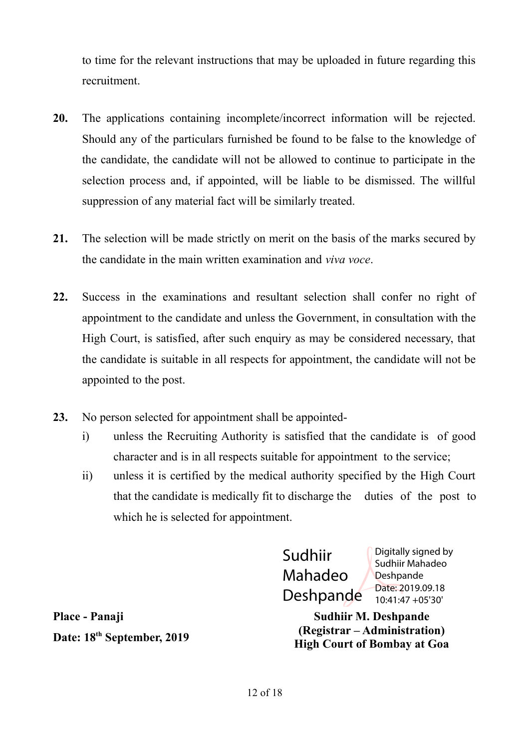to time for the relevant instructions that may be uploaded in future regarding this recruitment.

- **20.** The applications containing incomplete/incorrect information will be rejected. Should any of the particulars furnished be found to be false to the knowledge of the candidate, the candidate will not be allowed to continue to participate in the selection process and, if appointed, will be liable to be dismissed. The willful suppression of any material fact will be similarly treated.
- **21.** The selection will be made strictly on merit on the basis of the marks secured by the candidate in the main written examination and *viva voce*.
- **22.** Success in the examinations and resultant selection shall confer no right of appointment to the candidate and unless the Government, in consultation with the High Court, is satisfied, after such enquiry as may be considered necessary, that the candidate is suitable in all respects for appointment, the candidate will not be appointed to the post.
- **23.** No person selected for appointment shall be appointed
	- i) unless the Recruiting Authority is satisfied that the candidate is of good character and is in all respects suitable for appointment to the service;
	- ii) unless it is certified by the medical authority specified by the High Court that the candidate is medically fit to discharge the duties of the post to which he is selected for appointment.

Sudhiir<br>Mahade<br>Deshpa<br>Sud<br>(Regist<br>High Co<br>12 of 18 Mahadeo Deshpande

Digitally signed by Sudhiir Mahadeo Deshpande Date: 2019.09.18 10:41:47 +05'30'

**Sudhiir M. Deshpande (Registrar – Administration) High Court of Bombay at Goa**

**Place - Panaji Date: 18th September, 2019**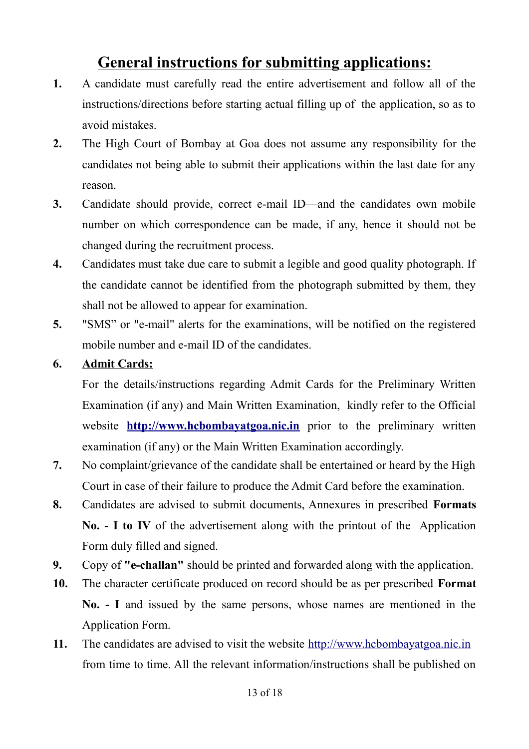# **General instructions for submitting applications:**

- **1.** A candidate must carefully read the entire advertisement and follow all of the instructions/directions before starting actual filling up of the application, so as to avoid mistakes.
- **2.** The High Court of Bombay at Goa does not assume any responsibility for the candidates not being able to submit their applications within the last date for any reason.
- **3.** Candidate should provide, correct e-mail ID—and the candidates own mobile number on which correspondence can be made, if any, hence it should not be changed during the recruitment process.
- **4.** Candidates must take due care to submit a legible and good quality photograph. If the candidate cannot be identified from the photograph submitted by them, they shall not be allowed to appear for examination.
- **5.** "SMS" or "e-mail" alerts for the examinations, will be notified on the registered mobile number and e-mail ID of the candidates.

## **6. Admit Cards:**

For the details/instructions regarding Admit Cards for the Preliminary Written Examination (if any) and Main Written Examination, kindly refer to the Official website **http://www.hcbombayatgoa.nic.in** prior to the preliminary written examination (if any) or the Main Written Examination accordingly.

- **7.** No complaint/grievance of the candidate shall be entertained or heard by the High Court in case of their failure to produce the Admit Card before the examination.
- **8.** Candidates are advised to submit documents, Annexures in prescribed **Formats No. - I to IV** of the advertisement along with the printout of the Application Form duly filled and signed.
- **9.** Copy of **"e-challan"** should be printed and forwarded along with the application.
- **10.** The character certificate produced on record should be as per prescribed **Format No. - I** and issued by the same persons, whose names are mentioned in the Application Form.
- **11.** The candidates are advised to visit the website http://www.hcbombayatgoa.nic.in from time to time. All the relevant information/instructions shall be published on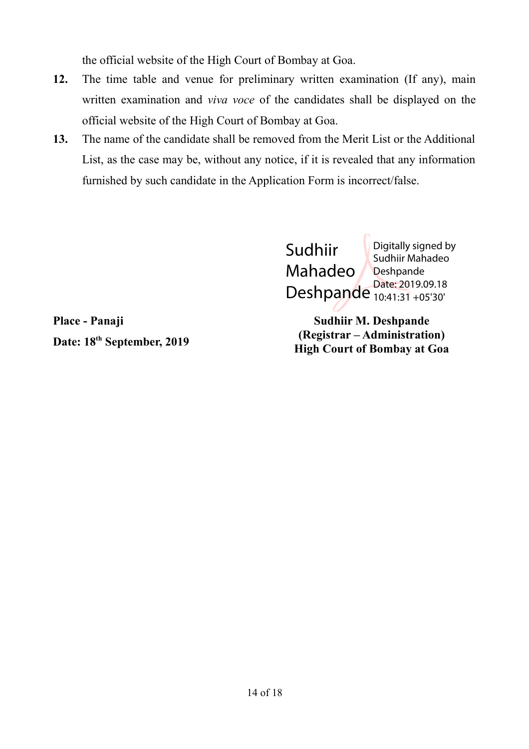the official website of the High Court of Bombay at Goa.

- **12.** The time table and venue for preliminary written examination (If any), main written examination and *viva voce* of the candidates shall be displayed on the official website of the High Court of Bombay at Goa.
- **13.** The name of the candidate shall be removed from the Merit List or the Additional List, as the case may be, without any notice, if it is revealed that any information furnished by such candidate in the Application Form is incorrect/false.

Sudhiir<br>Mahade<br>Deshpa<br>Sudhi<br>(Registr:<br>High Cou Mahadeo Deshpande 10:41:31 +05'30' Digitally signed by Sudhiir Mahadeo **Deshpande** Date: 2019.09.18

**Sudhiir M. Deshpande (Registrar – Administration) High Court of Bombay at Goa**

**Place - Panaji Date: 18th September, 2019**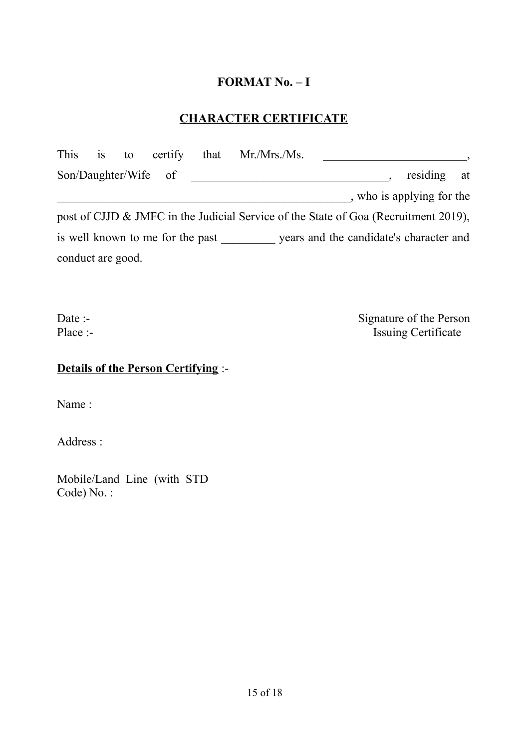# **FORMAT No. – I**

# **CHARACTER CERTIFICATE**

|                   |  |                                  | This is to certify that Mr./Mrs./Ms.                                                |  |                                         |    |
|-------------------|--|----------------------------------|-------------------------------------------------------------------------------------|--|-----------------------------------------|----|
|                   |  | Son/Daughter/Wife of             |                                                                                     |  | residing                                | at |
|                   |  |                                  |                                                                                     |  | , who is applying for the               |    |
|                   |  |                                  | post of CJJD & JMFC in the Judicial Service of the State of Goa (Recruitment 2019), |  |                                         |    |
|                   |  | is well known to me for the past |                                                                                     |  | years and the candidate's character and |    |
| conduct are good. |  |                                  |                                                                                     |  |                                         |    |

Date :-Place :- Signature of the Person Issuing Certificate

# **Details of the Person Certifying** :-

Name :

Address :

Mobile/Land Line (with STD Code) No. :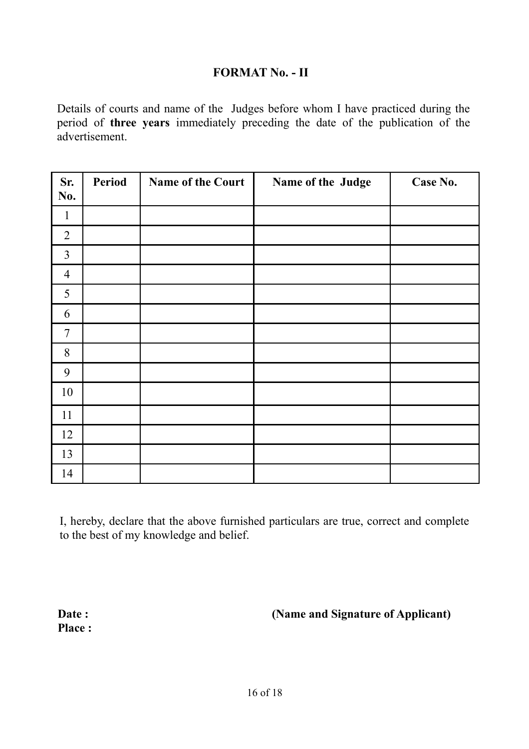## **FORMAT No. - II**

Details of courts and name of the Judges before whom I have practiced during the period of **three years** immediately preceding the date of the publication of the advertisement.

| Sr.<br>No.     | Period | Name of the Court | Name of the Judge | Case No. |
|----------------|--------|-------------------|-------------------|----------|
| $\mathbf{1}$   |        |                   |                   |          |
| $\overline{2}$ |        |                   |                   |          |
| 3              |        |                   |                   |          |
| $\overline{4}$ |        |                   |                   |          |
| 5              |        |                   |                   |          |
| 6              |        |                   |                   |          |
| $\overline{7}$ |        |                   |                   |          |
| 8              |        |                   |                   |          |
| 9              |        |                   |                   |          |
| 10             |        |                   |                   |          |
| 11             |        |                   |                   |          |
| 12             |        |                   |                   |          |
| 13             |        |                   |                   |          |
| 14             |        |                   |                   |          |

I, hereby, declare that the above furnished particulars are true, correct and complete to the best of my knowledge and belief.

**Date : Place :** **(Name and Signature of Applicant)**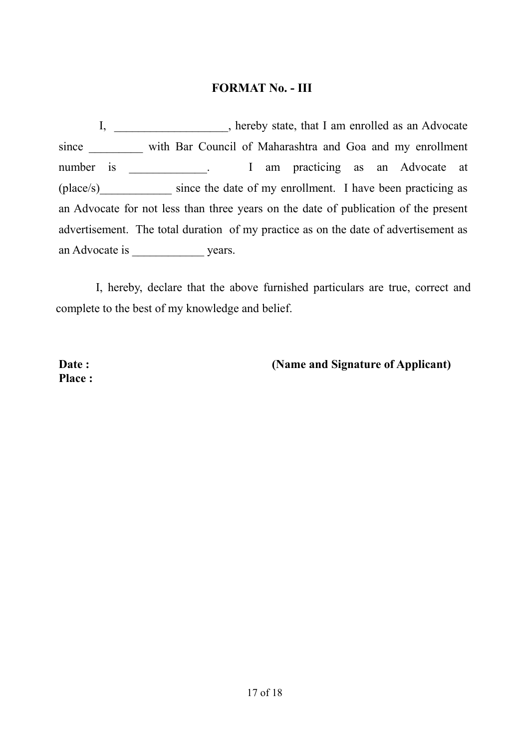## **FORMAT No. - III**

I, \_\_\_\_\_\_\_\_\_\_\_\_\_\_\_\_, hereby state, that I am enrolled as an Advocate since \_\_\_\_\_\_\_\_\_\_ with Bar Council of Maharashtra and Goa and my enrollment number is \_\_\_\_\_\_\_\_\_\_\_\_. I am practicing as an Advocate at (place/s) since the date of my enrollment. I have been practicing as an Advocate for not less than three years on the date of publication of the present advertisement. The total duration of my practice as on the date of advertisement as an Advocate is \_\_\_\_\_\_\_\_\_\_\_\_\_\_\_\_ years.

 I, hereby, declare that the above furnished particulars are true, correct and complete to the best of my knowledge and belief.

**Date : Place :** **(Name and Signature of Applicant)**